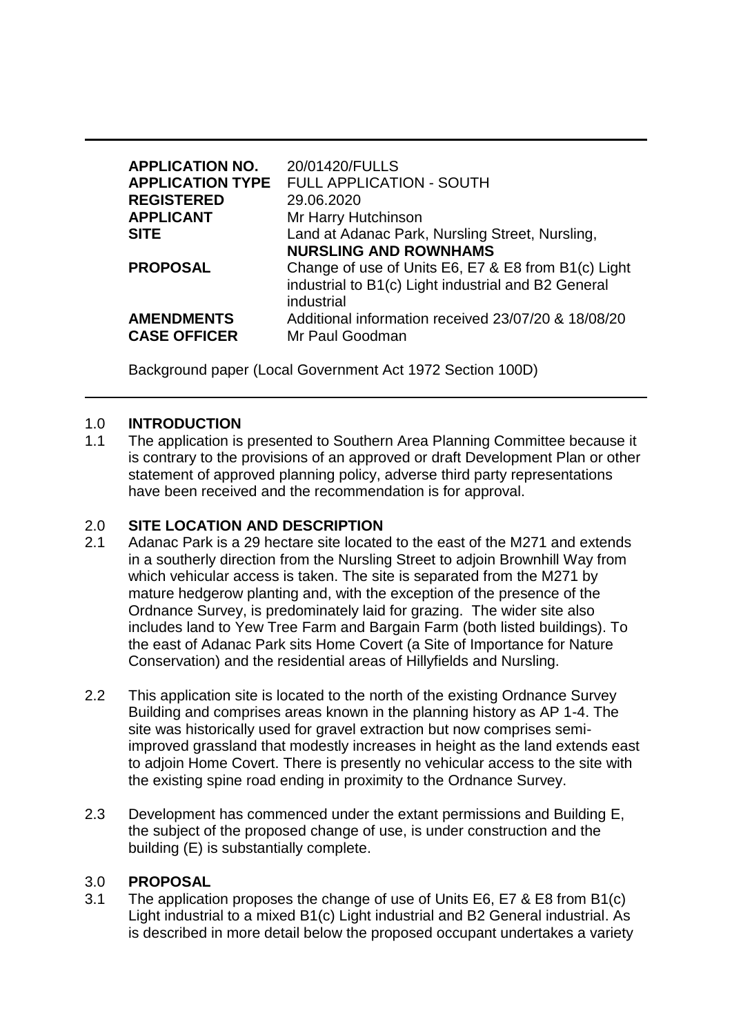| <b>APPLICATION NO.</b><br><b>APPLICATION TYPE</b><br><b>REGISTERED</b><br><b>APPLICANT</b><br><b>SITE</b> | 20/01420/FULLS<br><b>FULL APPLICATION - SOUTH</b><br>29.06.2020<br>Mr Harry Hutchinson<br>Land at Adanac Park, Nursling Street, Nursling,                                                                       |
|-----------------------------------------------------------------------------------------------------------|-----------------------------------------------------------------------------------------------------------------------------------------------------------------------------------------------------------------|
| <b>PROPOSAL</b><br><b>AMENDMENTS</b>                                                                      | <b>NURSLING AND ROWNHAMS</b><br>Change of use of Units E6, E7 & E8 from B1(c) Light<br>industrial to B1(c) Light industrial and B2 General<br>industrial<br>Additional information received 23/07/20 & 18/08/20 |
| <b>CASE OFFICER</b>                                                                                       | Mr Paul Goodman                                                                                                                                                                                                 |

Background paper (Local Government Act 1972 Section 100D)

### 1.0 **INTRODUCTION**

1.1 The application is presented to Southern Area Planning Committee because it is contrary to the provisions of an approved or draft Development Plan or other statement of approved planning policy, adverse third party representations have been received and the recommendation is for approval.

### 2.0 **SITE LOCATION AND DESCRIPTION**

- 2.1 Adanac Park is a 29 hectare site located to the east of the M271 and extends in a southerly direction from the Nursling Street to adjoin Brownhill Way from which vehicular access is taken. The site is separated from the M271 by mature hedgerow planting and, with the exception of the presence of the Ordnance Survey, is predominately laid for grazing. The wider site also includes land to Yew Tree Farm and Bargain Farm (both listed buildings). To the east of Adanac Park sits Home Covert (a Site of Importance for Nature Conservation) and the residential areas of Hillyfields and Nursling.
- 2.2 This application site is located to the north of the existing Ordnance Survey Building and comprises areas known in the planning history as AP 1-4. The site was historically used for gravel extraction but now comprises semiimproved grassland that modestly increases in height as the land extends east to adjoin Home Covert. There is presently no vehicular access to the site with the existing spine road ending in proximity to the Ordnance Survey.
- 2.3 Development has commenced under the extant permissions and Building E, the subject of the proposed change of use, is under construction and the building (E) is substantially complete.

#### 3.0 **PROPOSAL**

3.1 The application proposes the change of use of Units E6, E7 & E8 from B1(c) Light industrial to a mixed B1(c) Light industrial and B2 General industrial. As is described in more detail below the proposed occupant undertakes a variety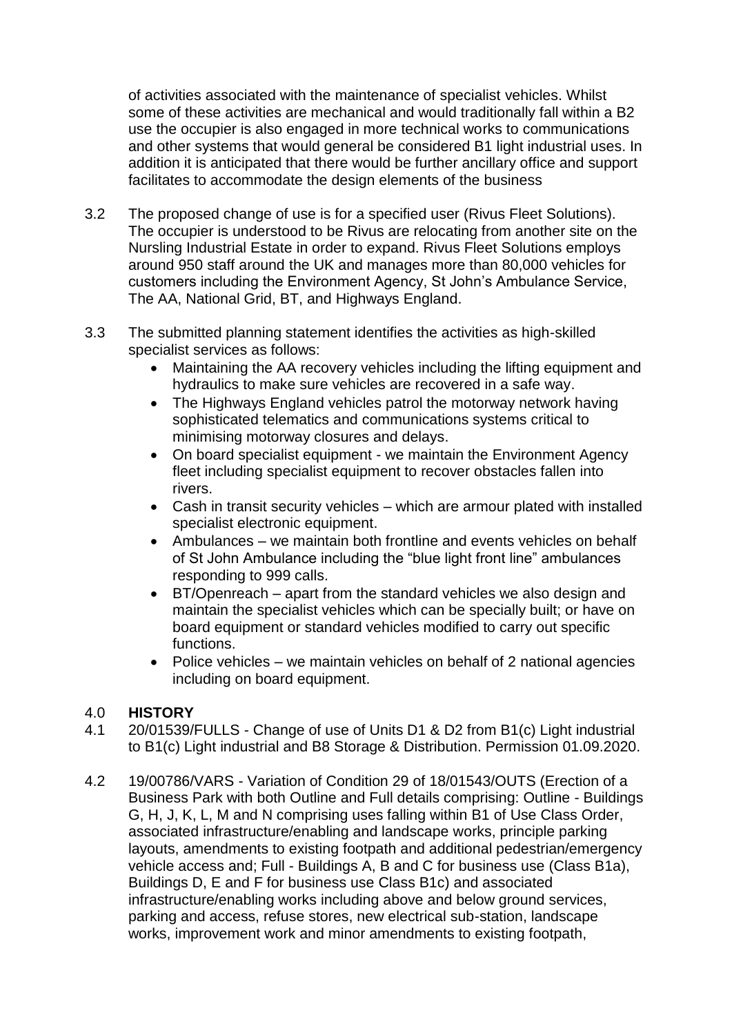of activities associated with the maintenance of specialist vehicles. Whilst some of these activities are mechanical and would traditionally fall within a B2 use the occupier is also engaged in more technical works to communications and other systems that would general be considered B1 light industrial uses. In addition it is anticipated that there would be further ancillary office and support facilitates to accommodate the design elements of the business

- 3.2 The proposed change of use is for a specified user (Rivus Fleet Solutions). The occupier is understood to be Rivus are relocating from another site on the Nursling Industrial Estate in order to expand. Rivus Fleet Solutions employs around 950 staff around the UK and manages more than 80,000 vehicles for customers including the Environment Agency, St John's Ambulance Service, The AA, National Grid, BT, and Highways England.
- 3.3 The submitted planning statement identifies the activities as high-skilled specialist services as follows:
	- Maintaining the AA recovery vehicles including the lifting equipment and hydraulics to make sure vehicles are recovered in a safe way.
	- The Highways England vehicles patrol the motorway network having sophisticated telematics and communications systems critical to minimising motorway closures and delays.
	- On board specialist equipment we maintain the Environment Agency fleet including specialist equipment to recover obstacles fallen into rivers.
	- Cash in transit security vehicles which are armour plated with installed specialist electronic equipment.
	- Ambulances we maintain both frontline and events vehicles on behalf of St John Ambulance including the "blue light front line" ambulances responding to 999 calls.
	- BT/Openreach apart from the standard vehicles we also design and maintain the specialist vehicles which can be specially built; or have on board equipment or standard vehicles modified to carry out specific functions.
	- $\bullet$  Police vehicles we maintain vehicles on behalf of 2 national agencies including on board equipment.

## 4.0 **HISTORY**

- 4.1 20/01539/FULLS Change of use of Units D1 & D2 from B1(c) Light industrial to B1(c) Light industrial and B8 Storage & Distribution. Permission 01.09.2020.
- 4.2 19/00786/VARS Variation of Condition 29 of 18/01543/OUTS (Erection of a Business Park with both Outline and Full details comprising: Outline - Buildings G, H, J, K, L, M and N comprising uses falling within B1 of Use Class Order, associated infrastructure/enabling and landscape works, principle parking layouts, amendments to existing footpath and additional pedestrian/emergency vehicle access and; Full - Buildings A, B and C for business use (Class B1a), Buildings D, E and F for business use Class B1c) and associated infrastructure/enabling works including above and below ground services, parking and access, refuse stores, new electrical sub-station, landscape works, improvement work and minor amendments to existing footpath,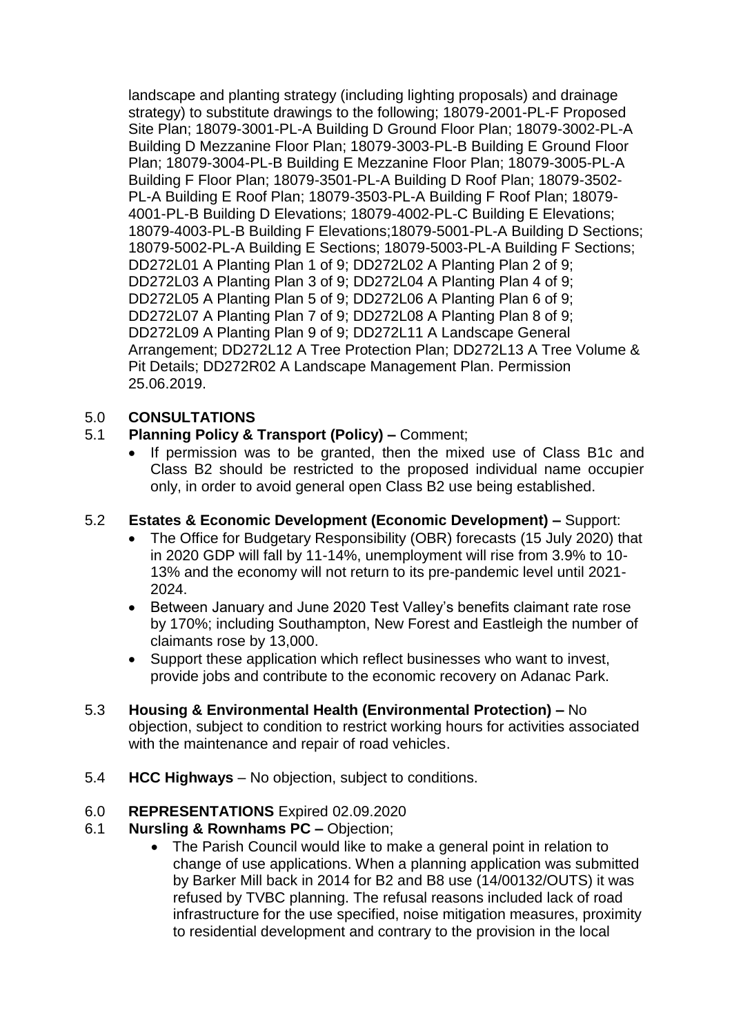landscape and planting strategy (including lighting proposals) and drainage strategy) to substitute drawings to the following; 18079-2001-PL-F Proposed Site Plan; 18079-3001-PL-A Building D Ground Floor Plan; 18079-3002-PL-A Building D Mezzanine Floor Plan; 18079-3003-PL-B Building E Ground Floor Plan; 18079-3004-PL-B Building E Mezzanine Floor Plan; 18079-3005-PL-A Building F Floor Plan; 18079-3501-PL-A Building D Roof Plan; 18079-3502- PL-A Building E Roof Plan; 18079-3503-PL-A Building F Roof Plan; 18079- 4001-PL-B Building D Elevations; 18079-4002-PL-C Building E Elevations; 18079-4003-PL-B Building F Elevations;18079-5001-PL-A Building D Sections; 18079-5002-PL-A Building E Sections; 18079-5003-PL-A Building F Sections; DD272L01 A Planting Plan 1 of 9; DD272L02 A Planting Plan 2 of 9; DD272L03 A Planting Plan 3 of 9; DD272L04 A Planting Plan 4 of 9; DD272L05 A Planting Plan 5 of 9; DD272L06 A Planting Plan 6 of 9; DD272L07 A Planting Plan 7 of 9; DD272L08 A Planting Plan 8 of 9; DD272L09 A Planting Plan 9 of 9; DD272L11 A Landscape General Arrangement; DD272L12 A Tree Protection Plan; DD272L13 A Tree Volume & Pit Details; DD272R02 A Landscape Management Plan. Permission 25.06.2019.

## 5.0 **CONSULTATIONS**

## 5.1 **Planning Policy & Transport (Policy) –** Comment;

• If permission was to be granted, then the mixed use of Class B1c and Class B2 should be restricted to the proposed individual name occupier only, in order to avoid general open Class B2 use being established.

## 5.2 **Estates & Economic Development (Economic Development) –** Support:

- The Office for Budgetary Responsibility (OBR) forecasts (15 July 2020) that in 2020 GDP will fall by 11-14%, unemployment will rise from 3.9% to 10- 13% and the economy will not return to its pre-pandemic level until 2021- 2024.
- Between January and June 2020 Test Valley's benefits claimant rate rose by 170%; including Southampton, New Forest and Eastleigh the number of claimants rose by 13,000.
- Support these application which reflect businesses who want to invest, provide jobs and contribute to the economic recovery on Adanac Park.
- 5.3 **Housing & Environmental Health (Environmental Protection) –** No objection, subject to condition to restrict working hours for activities associated with the maintenance and repair of road vehicles.
- 5.4 **HCC Highways**  No objection, subject to conditions.

## 6.0 **REPRESENTATIONS** Expired 02.09.2020

## 6.1 **Nursling & Rownhams PC –** Objection;

• The Parish Council would like to make a general point in relation to change of use applications. When a planning application was submitted by Barker Mill back in 2014 for B2 and B8 use (14/00132/OUTS) it was refused by TVBC planning. The refusal reasons included lack of road infrastructure for the use specified, noise mitigation measures, proximity to residential development and contrary to the provision in the local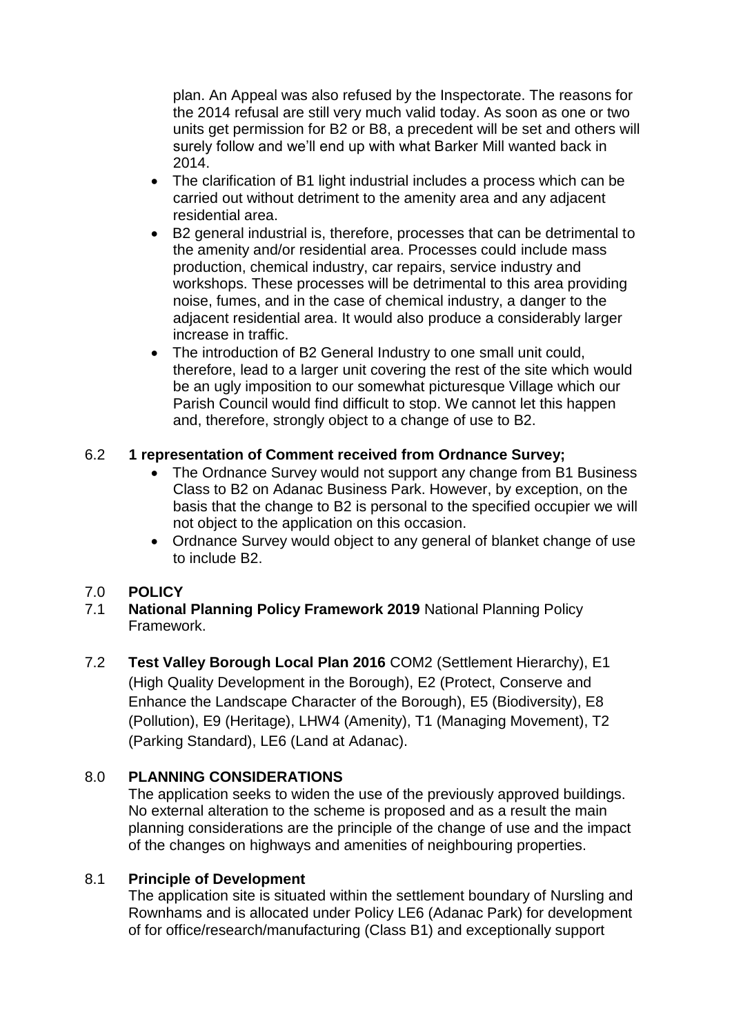plan. An Appeal was also refused by the Inspectorate. The reasons for the 2014 refusal are still very much valid today. As soon as one or two units get permission for B2 or B8, a precedent will be set and others will surely follow and we'll end up with what Barker Mill wanted back in 2014.

- The clarification of B1 light industrial includes a process which can be carried out without detriment to the amenity area and any adjacent residential area.
- B2 general industrial is, therefore, processes that can be detrimental to the amenity and/or residential area. Processes could include mass production, chemical industry, car repairs, service industry and workshops. These processes will be detrimental to this area providing noise, fumes, and in the case of chemical industry, a danger to the adjacent residential area. It would also produce a considerably larger increase in traffic.
- The introduction of B2 General Industry to one small unit could, therefore, lead to a larger unit covering the rest of the site which would be an ugly imposition to our somewhat picturesque Village which our Parish Council would find difficult to stop. We cannot let this happen and, therefore, strongly object to a change of use to B2.

## 6.2 **1 representation of Comment received from Ordnance Survey;**

- The Ordnance Survey would not support any change from B1 Business Class to B2 on Adanac Business Park. However, by exception, on the basis that the change to B2 is personal to the specified occupier we will not object to the application on this occasion.
- Ordnance Survey would object to any general of blanket change of use to include B2.

## 7.0 **POLICY**

- 7.1 **National Planning Policy Framework 2019** National Planning Policy Framework.
- 7.2 **Test Valley Borough Local Plan 2016** COM2 (Settlement Hierarchy), E1 (High Quality Development in the Borough), E2 (Protect, Conserve and Enhance the Landscape Character of the Borough), E5 (Biodiversity), E8 (Pollution), E9 (Heritage), LHW4 (Amenity), T1 (Managing Movement), T2 (Parking Standard), LE6 (Land at Adanac).

## 8.0 **PLANNING CONSIDERATIONS**

The application seeks to widen the use of the previously approved buildings. No external alteration to the scheme is proposed and as a result the main planning considerations are the principle of the change of use and the impact of the changes on highways and amenities of neighbouring properties.

## 8.1 **Principle of Development**

The application site is situated within the settlement boundary of Nursling and Rownhams and is allocated under Policy LE6 (Adanac Park) for development of for office/research/manufacturing (Class B1) and exceptionally support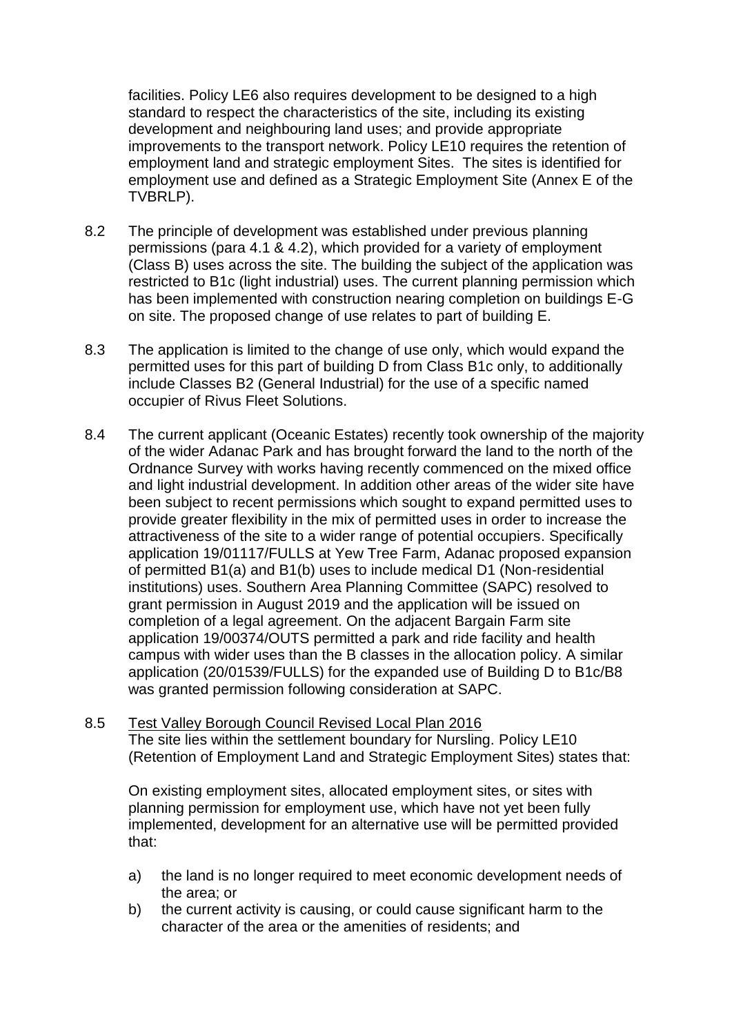facilities. Policy LE6 also requires development to be designed to a high standard to respect the characteristics of the site, including its existing development and neighbouring land uses; and provide appropriate improvements to the transport network. Policy LE10 requires the retention of employment land and strategic employment Sites. The sites is identified for employment use and defined as a Strategic Employment Site (Annex E of the TVBRLP).

- 8.2 The principle of development was established under previous planning permissions (para 4.1 & 4.2), which provided for a variety of employment (Class B) uses across the site. The building the subject of the application was restricted to B1c (light industrial) uses. The current planning permission which has been implemented with construction nearing completion on buildings E-G on site. The proposed change of use relates to part of building E.
- 8.3 The application is limited to the change of use only, which would expand the permitted uses for this part of building D from Class B1c only, to additionally include Classes B2 (General Industrial) for the use of a specific named occupier of Rivus Fleet Solutions.
- 8.4 The current applicant (Oceanic Estates) recently took ownership of the majority of the wider Adanac Park and has brought forward the land to the north of the Ordnance Survey with works having recently commenced on the mixed office and light industrial development. In addition other areas of the wider site have been subject to recent permissions which sought to expand permitted uses to provide greater flexibility in the mix of permitted uses in order to increase the attractiveness of the site to a wider range of potential occupiers. Specifically application 19/01117/FULLS at Yew Tree Farm, Adanac proposed expansion of permitted B1(a) and B1(b) uses to include medical D1 (Non-residential institutions) uses. Southern Area Planning Committee (SAPC) resolved to grant permission in August 2019 and the application will be issued on completion of a legal agreement. On the adjacent Bargain Farm site application 19/00374/OUTS permitted a park and ride facility and health campus with wider uses than the B classes in the allocation policy. A similar application (20/01539/FULLS) for the expanded use of Building D to B1c/B8 was granted permission following consideration at SAPC.
- 8.5 Test Valley Borough Council Revised Local Plan 2016 The site lies within the settlement boundary for Nursling. Policy LE10 (Retention of Employment Land and Strategic Employment Sites) states that:

On existing employment sites, allocated employment sites, or sites with planning permission for employment use, which have not yet been fully implemented, development for an alternative use will be permitted provided that:

- a) the land is no longer required to meet economic development needs of the area; or
- b) the current activity is causing, or could cause significant harm to the character of the area or the amenities of residents; and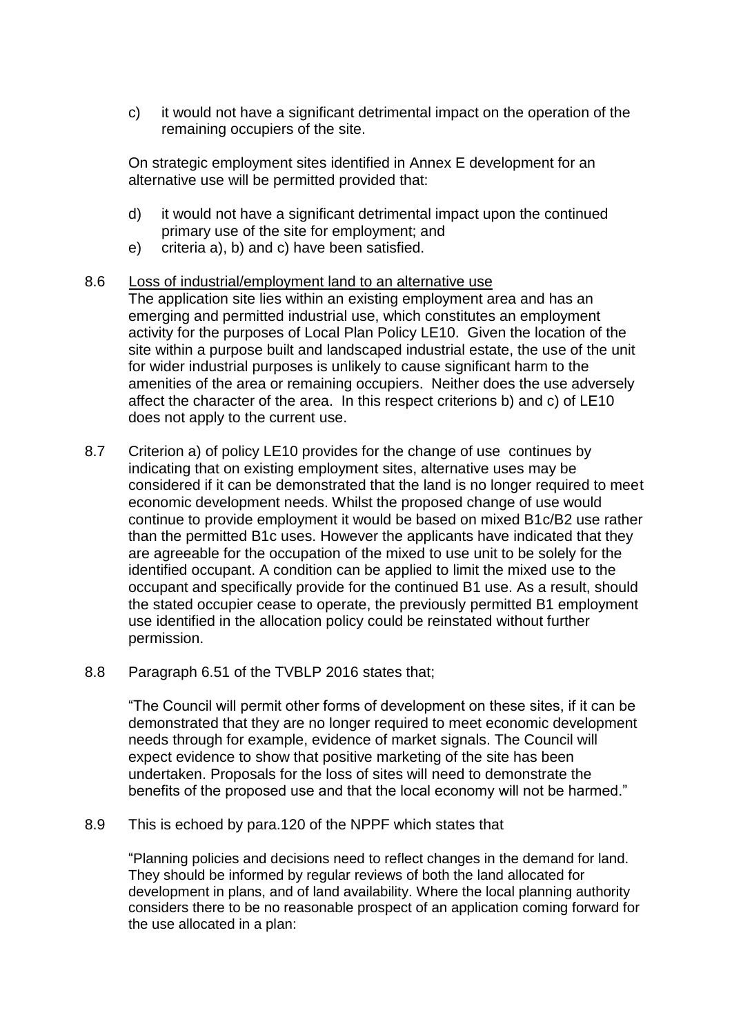c) it would not have a significant detrimental impact on the operation of the remaining occupiers of the site.

On strategic employment sites identified in Annex E development for an alternative use will be permitted provided that:

- d) it would not have a significant detrimental impact upon the continued primary use of the site for employment; and
- e) criteria a), b) and c) have been satisfied.

#### 8.6 Loss of industrial/employment land to an alternative use

The application site lies within an existing employment area and has an emerging and permitted industrial use, which constitutes an employment activity for the purposes of Local Plan Policy LE10. Given the location of the site within a purpose built and landscaped industrial estate, the use of the unit for wider industrial purposes is unlikely to cause significant harm to the amenities of the area or remaining occupiers. Neither does the use adversely affect the character of the area. In this respect criterions b) and c) of LE10 does not apply to the current use.

- 8.7 Criterion a) of policy LE10 provides for the change of use continues by indicating that on existing employment sites, alternative uses may be considered if it can be demonstrated that the land is no longer required to meet economic development needs. Whilst the proposed change of use would continue to provide employment it would be based on mixed B1c/B2 use rather than the permitted B1c uses. However the applicants have indicated that they are agreeable for the occupation of the mixed to use unit to be solely for the identified occupant. A condition can be applied to limit the mixed use to the occupant and specifically provide for the continued B1 use. As a result, should the stated occupier cease to operate, the previously permitted B1 employment use identified in the allocation policy could be reinstated without further permission.
- 8.8 Paragraph 6.51 of the TVBLP 2016 states that;

"The Council will permit other forms of development on these sites, if it can be demonstrated that they are no longer required to meet economic development needs through for example, evidence of market signals. The Council will expect evidence to show that positive marketing of the site has been undertaken. Proposals for the loss of sites will need to demonstrate the benefits of the proposed use and that the local economy will not be harmed."

8.9 This is echoed by para.120 of the NPPF which states that

"Planning policies and decisions need to reflect changes in the demand for land. They should be informed by regular reviews of both the land allocated for development in plans, and of land availability. Where the local planning authority considers there to be no reasonable prospect of an application coming forward for the use allocated in a plan: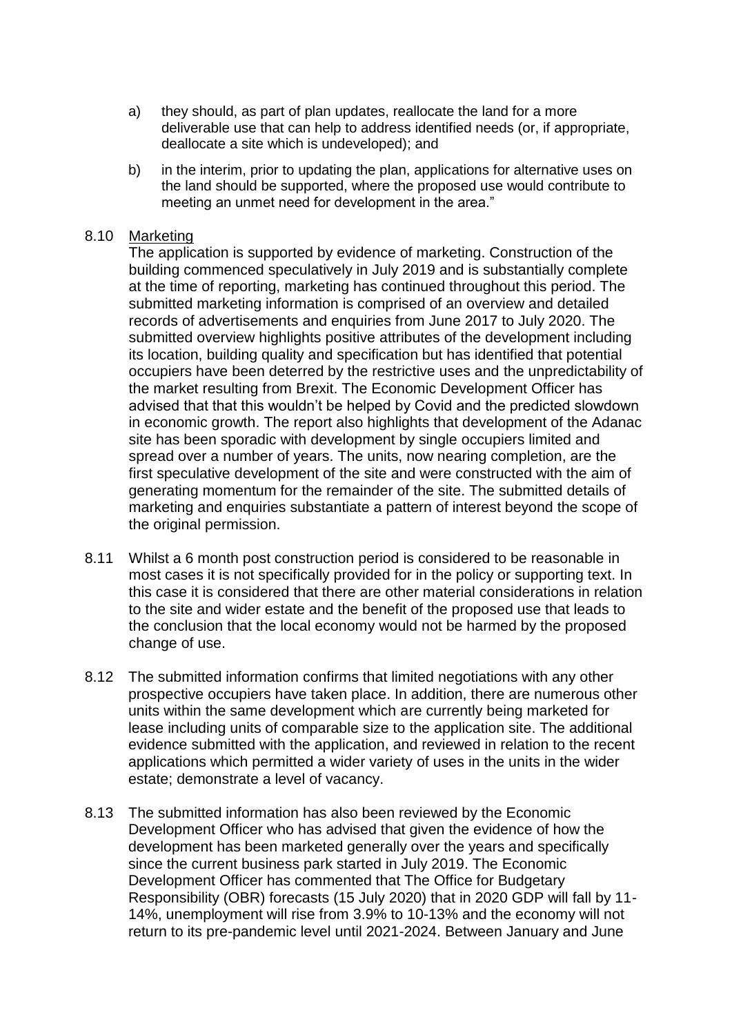- a) they should, as part of plan updates, reallocate the land for a more deliverable use that can help to address identified needs (or, if appropriate, deallocate a site which is undeveloped); and
- b) in the interim, prior to updating the plan, applications for alternative uses on the land should be supported, where the proposed use would contribute to meeting an unmet need for development in the area."

#### 8.10 Marketing

The application is supported by evidence of marketing. Construction of the building commenced speculatively in July 2019 and is substantially complete at the time of reporting, marketing has continued throughout this period. The submitted marketing information is comprised of an overview and detailed records of advertisements and enquiries from June 2017 to July 2020. The submitted overview highlights positive attributes of the development including its location, building quality and specification but has identified that potential occupiers have been deterred by the restrictive uses and the unpredictability of the market resulting from Brexit. The Economic Development Officer has advised that that this wouldn't be helped by Covid and the predicted slowdown in economic growth. The report also highlights that development of the Adanac site has been sporadic with development by single occupiers limited and spread over a number of years. The units, now nearing completion, are the first speculative development of the site and were constructed with the aim of generating momentum for the remainder of the site. The submitted details of marketing and enquiries substantiate a pattern of interest beyond the scope of the original permission.

- 8.11 Whilst a 6 month post construction period is considered to be reasonable in most cases it is not specifically provided for in the policy or supporting text. In this case it is considered that there are other material considerations in relation to the site and wider estate and the benefit of the proposed use that leads to the conclusion that the local economy would not be harmed by the proposed change of use.
- 8.12 The submitted information confirms that limited negotiations with any other prospective occupiers have taken place. In addition, there are numerous other units within the same development which are currently being marketed for lease including units of comparable size to the application site. The additional evidence submitted with the application, and reviewed in relation to the recent applications which permitted a wider variety of uses in the units in the wider estate; demonstrate a level of vacancy.
- 8.13 The submitted information has also been reviewed by the Economic Development Officer who has advised that given the evidence of how the development has been marketed generally over the years and specifically since the current business park started in July 2019. The Economic Development Officer has commented that The Office for Budgetary Responsibility (OBR) forecasts (15 July 2020) that in 2020 GDP will fall by 11- 14%, unemployment will rise from 3.9% to 10-13% and the economy will not return to its pre-pandemic level until 2021-2024. Between January and June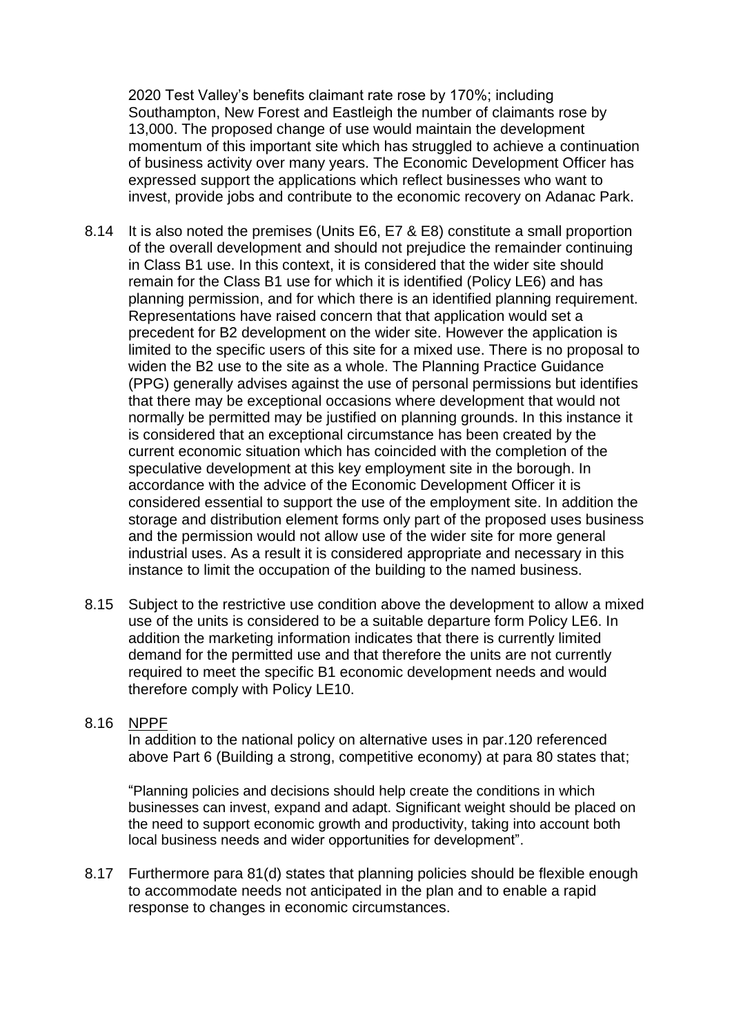2020 Test Valley's benefits claimant rate rose by 170%; including Southampton, New Forest and Eastleigh the number of claimants rose by 13,000. The proposed change of use would maintain the development momentum of this important site which has struggled to achieve a continuation of business activity over many years. The Economic Development Officer has expressed support the applications which reflect businesses who want to invest, provide jobs and contribute to the economic recovery on Adanac Park.

- 8.14 It is also noted the premises (Units E6, E7 & E8) constitute a small proportion of the overall development and should not prejudice the remainder continuing in Class B1 use. In this context, it is considered that the wider site should remain for the Class B1 use for which it is identified (Policy LE6) and has planning permission, and for which there is an identified planning requirement. Representations have raised concern that that application would set a precedent for B2 development on the wider site. However the application is limited to the specific users of this site for a mixed use. There is no proposal to widen the B2 use to the site as a whole. The Planning Practice Guidance (PPG) generally advises against the use of personal permissions but identifies that there may be exceptional occasions where development that would not normally be permitted may be justified on planning grounds. In this instance it is considered that an exceptional circumstance has been created by the current economic situation which has coincided with the completion of the speculative development at this key employment site in the borough. In accordance with the advice of the Economic Development Officer it is considered essential to support the use of the employment site. In addition the storage and distribution element forms only part of the proposed uses business and the permission would not allow use of the wider site for more general industrial uses. As a result it is considered appropriate and necessary in this instance to limit the occupation of the building to the named business.
- 8.15 Subject to the restrictive use condition above the development to allow a mixed use of the units is considered to be a suitable departure form Policy LE6. In addition the marketing information indicates that there is currently limited demand for the permitted use and that therefore the units are not currently required to meet the specific B1 economic development needs and would therefore comply with Policy LE10.

#### 8.16 NPPF

In addition to the national policy on alternative uses in par.120 referenced above Part 6 (Building a strong, competitive economy) at para 80 states that;

"Planning policies and decisions should help create the conditions in which businesses can invest, expand and adapt. Significant weight should be placed on the need to support economic growth and productivity, taking into account both local business needs and wider opportunities for development".

8.17 Furthermore para 81(d) states that planning policies should be flexible enough to accommodate needs not anticipated in the plan and to enable a rapid response to changes in economic circumstances.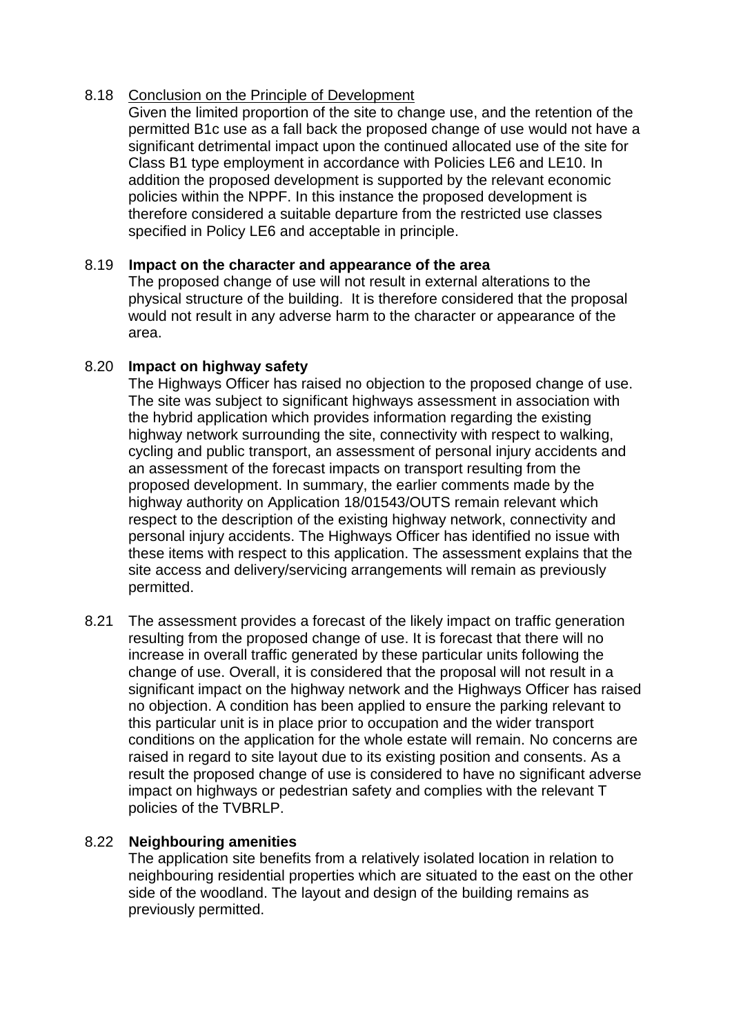#### 8.18 Conclusion on the Principle of Development

Given the limited proportion of the site to change use, and the retention of the permitted B1c use as a fall back the proposed change of use would not have a significant detrimental impact upon the continued allocated use of the site for Class B1 type employment in accordance with Policies LE6 and LE10. In addition the proposed development is supported by the relevant economic policies within the NPPF. In this instance the proposed development is therefore considered a suitable departure from the restricted use classes specified in Policy LE6 and acceptable in principle.

### 8.19 **Impact on the character and appearance of the area**

The proposed change of use will not result in external alterations to the physical structure of the building. It is therefore considered that the proposal would not result in any adverse harm to the character or appearance of the area.

## 8.20 **Impact on highway safety**

The Highways Officer has raised no objection to the proposed change of use. The site was subject to significant highways assessment in association with the hybrid application which provides information regarding the existing highway network surrounding the site, connectivity with respect to walking, cycling and public transport, an assessment of personal injury accidents and an assessment of the forecast impacts on transport resulting from the proposed development. In summary, the earlier comments made by the highway authority on Application 18/01543/OUTS remain relevant which respect to the description of the existing highway network, connectivity and personal injury accidents. The Highways Officer has identified no issue with these items with respect to this application. The assessment explains that the site access and delivery/servicing arrangements will remain as previously permitted.

8.21 The assessment provides a forecast of the likely impact on traffic generation resulting from the proposed change of use. It is forecast that there will no increase in overall traffic generated by these particular units following the change of use. Overall, it is considered that the proposal will not result in a significant impact on the highway network and the Highways Officer has raised no objection. A condition has been applied to ensure the parking relevant to this particular unit is in place prior to occupation and the wider transport conditions on the application for the whole estate will remain. No concerns are raised in regard to site layout due to its existing position and consents. As a result the proposed change of use is considered to have no significant adverse impact on highways or pedestrian safety and complies with the relevant T policies of the TVBRLP.

## 8.22 **Neighbouring amenities**

The application site benefits from a relatively isolated location in relation to neighbouring residential properties which are situated to the east on the other side of the woodland. The layout and design of the building remains as previously permitted.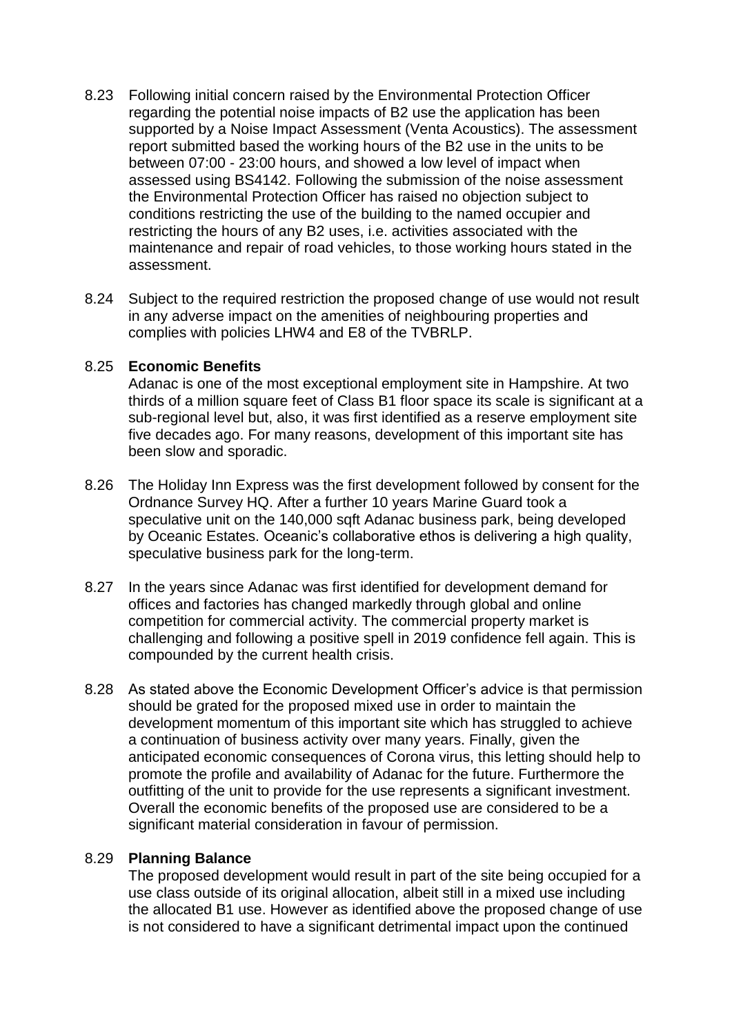- 8.23 Following initial concern raised by the Environmental Protection Officer regarding the potential noise impacts of B2 use the application has been supported by a Noise Impact Assessment (Venta Acoustics). The assessment report submitted based the working hours of the B2 use in the units to be between 07:00 - 23:00 hours, and showed a low level of impact when assessed using BS4142. Following the submission of the noise assessment the Environmental Protection Officer has raised no objection subject to conditions restricting the use of the building to the named occupier and restricting the hours of any B2 uses, i.e. activities associated with the maintenance and repair of road vehicles, to those working hours stated in the assessment.
- 8.24 Subject to the required restriction the proposed change of use would not result in any adverse impact on the amenities of neighbouring properties and complies with policies LHW4 and E8 of the TVBRLP.

#### 8.25 **Economic Benefits**

Adanac is one of the most exceptional employment site in Hampshire. At two thirds of a million square feet of Class B1 floor space its scale is significant at a sub-regional level but, also, it was first identified as a reserve employment site five decades ago. For many reasons, development of this important site has been slow and sporadic.

- 8.26 The Holiday Inn Express was the first development followed by consent for the Ordnance Survey HQ. After a further 10 years Marine Guard took a speculative unit on the 140,000 sqft Adanac business park, being developed by Oceanic Estates. Oceanic's collaborative ethos is delivering a high quality, speculative business park for the long-term.
- 8.27 In the years since Adanac was first identified for development demand for offices and factories has changed markedly through global and online competition for commercial activity. The commercial property market is challenging and following a positive spell in 2019 confidence fell again. This is compounded by the current health crisis.
- 8.28 As stated above the Economic Development Officer's advice is that permission should be grated for the proposed mixed use in order to maintain the development momentum of this important site which has struggled to achieve a continuation of business activity over many years. Finally, given the anticipated economic consequences of Corona virus, this letting should help to promote the profile and availability of Adanac for the future. Furthermore the outfitting of the unit to provide for the use represents a significant investment. Overall the economic benefits of the proposed use are considered to be a significant material consideration in favour of permission.

## 8.29 **Planning Balance**

The proposed development would result in part of the site being occupied for a use class outside of its original allocation, albeit still in a mixed use including the allocated B1 use. However as identified above the proposed change of use is not considered to have a significant detrimental impact upon the continued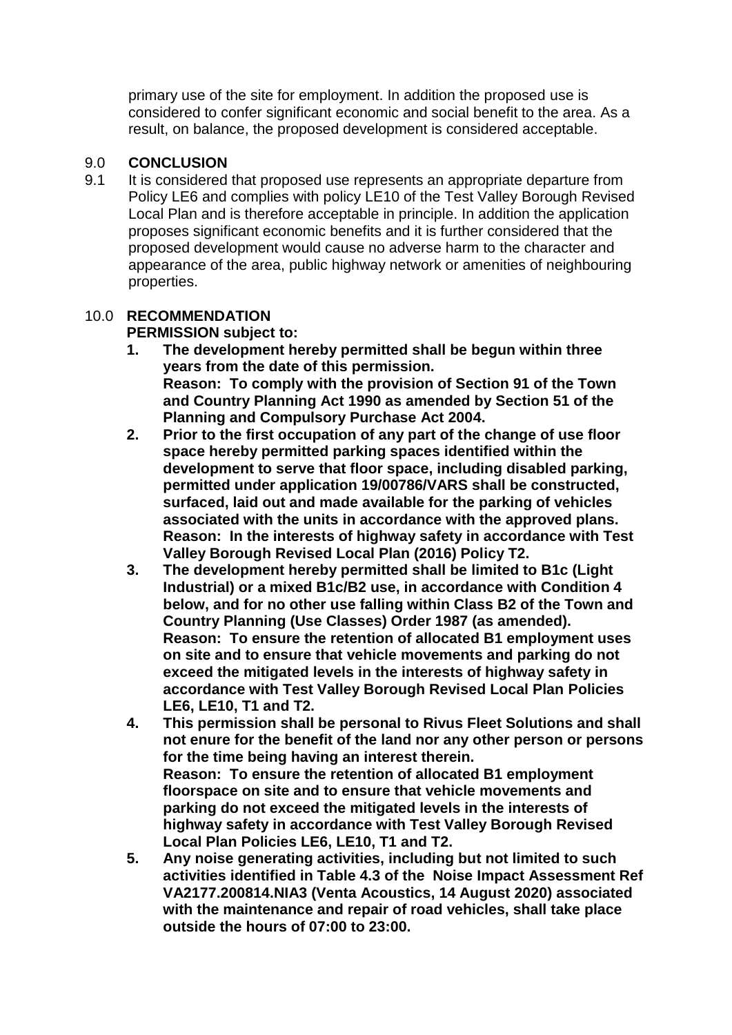primary use of the site for employment. In addition the proposed use is considered to confer significant economic and social benefit to the area. As a result, on balance, the proposed development is considered acceptable.

## 9.0 **CONCLUSION**

9.1 It is considered that proposed use represents an appropriate departure from Policy LE6 and complies with policy LE10 of the Test Valley Borough Revised Local Plan and is therefore acceptable in principle. In addition the application proposes significant economic benefits and it is further considered that the proposed development would cause no adverse harm to the character and appearance of the area, public highway network or amenities of neighbouring properties.

# 10.0 **RECOMMENDATION**

**PERMISSION subject to:**

- **1. The development hereby permitted shall be begun within three years from the date of this permission. Reason: To comply with the provision of Section 91 of the Town and Country Planning Act 1990 as amended by Section 51 of the Planning and Compulsory Purchase Act 2004.**
- **2. Prior to the first occupation of any part of the change of use floor space hereby permitted parking spaces identified within the development to serve that floor space, including disabled parking, permitted under application 19/00786/VARS shall be constructed, surfaced, laid out and made available for the parking of vehicles associated with the units in accordance with the approved plans. Reason: In the interests of highway safety in accordance with Test Valley Borough Revised Local Plan (2016) Policy T2.**
- **3. The development hereby permitted shall be limited to B1c (Light Industrial) or a mixed B1c/B2 use, in accordance with Condition 4 below, and for no other use falling within Class B2 of the Town and Country Planning (Use Classes) Order 1987 (as amended). Reason: To ensure the retention of allocated B1 employment uses on site and to ensure that vehicle movements and parking do not exceed the mitigated levels in the interests of highway safety in accordance with Test Valley Borough Revised Local Plan Policies LE6, LE10, T1 and T2.**
- **4. This permission shall be personal to Rivus Fleet Solutions and shall not enure for the benefit of the land nor any other person or persons for the time being having an interest therein. Reason: To ensure the retention of allocated B1 employment floorspace on site and to ensure that vehicle movements and parking do not exceed the mitigated levels in the interests of highway safety in accordance with Test Valley Borough Revised Local Plan Policies LE6, LE10, T1 and T2.**
- **5. Any noise generating activities, including but not limited to such activities identified in Table 4.3 of the Noise Impact Assessment Ref VA2177.200814.NIA3 (Venta Acoustics, 14 August 2020) associated with the maintenance and repair of road vehicles, shall take place outside the hours of 07:00 to 23:00.**